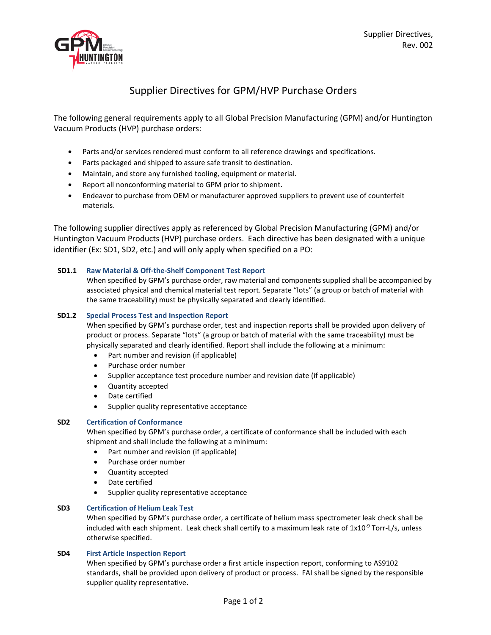

# Supplier Directives for GPM/HVP Purchase Orders

The following general requirements apply to all Global Precision Manufacturing (GPM) and/or Huntington Vacuum Products (HVP) purchase orders:

- Parts and/or services rendered must conform to all reference drawings and specifications.
- Parts packaged and shipped to assure safe transit to destination.
- Maintain, and store any furnished tooling, equipment or material.
- Report all nonconforming material to GPM prior to shipment.
- Endeavor to purchase from OEM or manufacturer approved suppliers to prevent use of counterfeit materials.

The following supplier directives apply as referenced by Global Precision Manufacturing (GPM) and/or Huntington Vacuum Products (HVP) purchase orders. Each directive has been designated with a unique identifier (Ex: SD1, SD2, etc.) and will only apply when specified on a PO:

## **SD1.1 Raw Material & Off-the-Shelf Component Test Report**

When specified by GPM's purchase order, raw material and components supplied shall be accompanied by associated physical and chemical material test report. Separate "lots" (a group or batch of material with the same traceability) must be physically separated and clearly identified.

## **SD1.2 Special Process Test and Inspection Report**

When specified by GPM's purchase order, test and inspection reports shall be provided upon delivery of product or process. Separate "lots" (a group or batch of material with the same traceability) must be physically separated and clearly identified. Report shall include the following at a minimum:

- Part number and revision (if applicable)
- Purchase order number
- Supplier acceptance test procedure number and revision date (if applicable)
- Quantity accepted
- Date certified
- Supplier quality representative acceptance

## **SD2 Certification of Conformance**

When specified by GPM's purchase order, a certificate of conformance shall be included with each shipment and shall include the following at a minimum:

- Part number and revision (if applicable)
- Purchase order number
- Quantity accepted
- Date certified
- Supplier quality representative acceptance

## **SD3 Certification of Helium Leak Test**

When specified by GPM's purchase order, a certificate of helium mass spectrometer leak check shall be included with each shipment. Leak check shall certify to a maximum leak rate of  $1x10^{-9}$  Torr-L/s, unless otherwise specified.

## **SD4 First Article Inspection Report**

When specified by GPM's purchase order a first article inspection report, conforming to AS9102 standards, shall be provided upon delivery of product or process. FAI shall be signed by the responsible supplier quality representative.